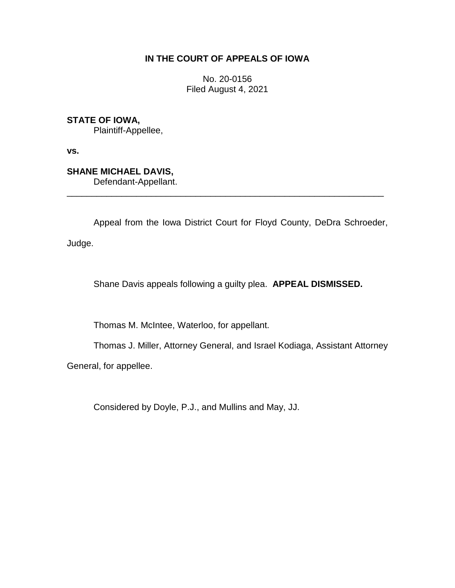## **IN THE COURT OF APPEALS OF IOWA**

No. 20-0156 Filed August 4, 2021

**STATE OF IOWA,**

Plaintiff-Appellee,

**vs.**

**SHANE MICHAEL DAVIS,**

Defendant-Appellant.

Appeal from the Iowa District Court for Floyd County, DeDra Schroeder,

\_\_\_\_\_\_\_\_\_\_\_\_\_\_\_\_\_\_\_\_\_\_\_\_\_\_\_\_\_\_\_\_\_\_\_\_\_\_\_\_\_\_\_\_\_\_\_\_\_\_\_\_\_\_\_\_\_\_\_\_\_\_\_\_

Judge.

Shane Davis appeals following a guilty plea. **APPEAL DISMISSED.**

Thomas M. McIntee, Waterloo, for appellant.

Thomas J. Miller, Attorney General, and Israel Kodiaga, Assistant Attorney

General, for appellee.

Considered by Doyle, P.J., and Mullins and May, JJ.